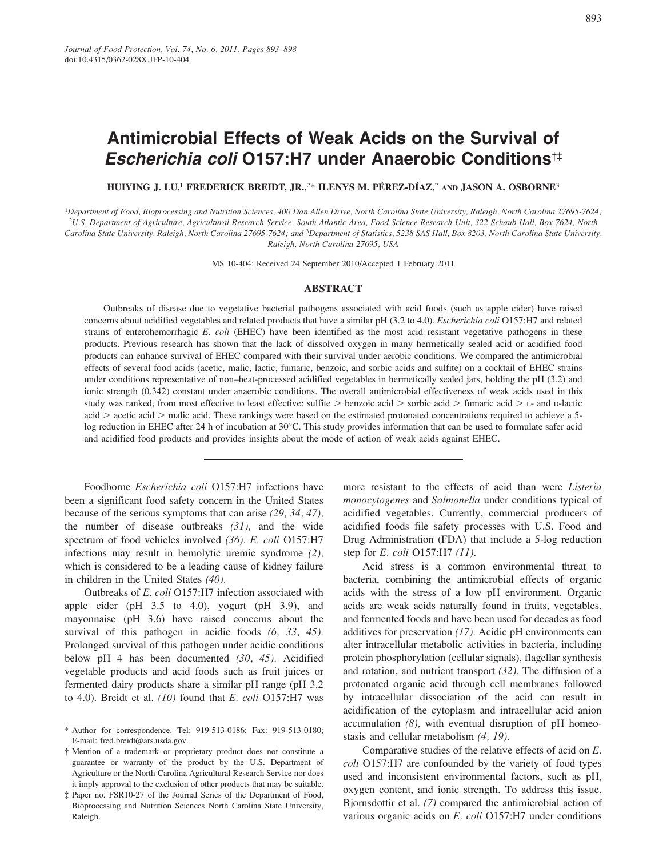# Antimicrobial Effects of Weak Acids on the Survival of Escherichia coli 0157:H7 under Anaerobic Conditions<sup>t‡</sup>

HUIYING J. LU.<sup>1</sup> FREDERICK BREIDT, JR.,<sup>2\*</sup> ILENYS M. PÉREZ-DÍAZ,<sup>2</sup> AND JASON A. OSBORNE<sup>3</sup>

<sup>1</sup>Department of Food, Bioprocessing and Nutrition Sciences, 400 Dan Allen Drive, North Carolina State University, Raleigh, North Carolina 27695-7624; <sup>2</sup>U.S. Department of Agriculture, Agricultural Research Service, South Atlantic Area, Food Science Research Unit, 322 Schaub Hall, Box 7624, North Carolina State University, Raleigh, North Carolina 27695-7624; and <sup>3</sup>Department of Statistics, 5238 SAS Hall, Box 8203, North Carolina State University, Raleigh, North Carolina 27695, USA

MS 10-404: Received 24 September 2010/Accepted 1 February 2011

## **ABSTRACT**

Outbreaks of disease due to vegetative bacterial pathogens associated with acid foods (such as apple cider) have raised concerns about acidified vegetables and related products that have a similar pH (3.2 to 4.0). Escherichia coli O157:H7 and related strains of enterohemorrhagic E. coli (EHEC) have been identified as the most acid resistant vegetative pathogens in these products. Previous research has shown that the lack of dissolved oxygen in many hermetically sealed acid or acidified food products can enhance survival of EHEC compared with their survival under aerobic conditions. We compared the antimicrobial effects of several food acids (acetic, malic, lactic, fumaric, benzoic, and sorbic acids and sulfite) on a cocktail of EHEC strains under conditions representative of non-heat-processed acidified vegetables in hermetically sealed jars, holding the pH (3.2) and ionic strength (0.342) constant under anaerobic conditions. The overall antimicrobial effectiveness of weak acids used in this study was ranked, from most effective to least effective: sulfite  $>$  benzoic acid  $>$  sorbic acid  $>$  fumaric acid  $>$  L- and D-lactic acid > acetic acid > malic acid. These rankings were based on the estimated protonated concentrations required to achieve a 5log reduction in EHEC after 24 h of incubation at 30°C. This study provides information that can be used to formulate safer acid and acidified food products and provides insights about the mode of action of weak acids against EHEC.

Foodborne Escherichia coli O157:H7 infections have been a significant food safety concern in the United States because of the serious symptoms that can arise  $(29, 34, 47)$ , the number of disease outbreaks  $(31)$ , and the wide spectrum of food vehicles involved (36). E. coli O157:H7 infections may result in hemolytic uremic syndrome  $(2)$ , which is considered to be a leading cause of kidney failure in children in the United States  $(40)$ .

Outbreaks of E. coli O157:H7 infection associated with apple cider (pH  $3.5$  to 4.0), yogurt (pH  $3.9$ ), and mayonnaise (pH 3.6) have raised concerns about the survival of this pathogen in acidic foods  $(6, 33, 45)$ . Prolonged survival of this pathogen under acidic conditions below pH 4 has been documented  $(30, 45)$ . Acidified vegetable products and acid foods such as fruit juices or fermented dairy products share a similar pH range (pH 3.2 to 4.0). Breidt et al.  $(10)$  found that E. coli O157:H7 was more resistant to the effects of acid than were Listeria *monocytogenes* and *Salmonella* under conditions typical of acidified vegetables. Currently, commercial producers of acidified foods file safety processes with U.S. Food and Drug Administration (FDA) that include a 5-log reduction step for  $E.$  coli O157:H7  $(11)$ .

Acid stress is a common environmental threat to bacteria, combining the antimicrobial effects of organic acids with the stress of a low pH environment. Organic acids are weak acids naturally found in fruits, vegetables, and fermented foods and have been used for decades as food additives for preservation  $(17)$ . Acidic pH environments can alter intracellular metabolic activities in bacteria, including protein phosphorylation (cellular signals), flagellar synthesis and rotation, and nutrient transport  $(32)$ . The diffusion of a protonated organic acid through cell membranes followed by intracellular dissociation of the acid can result in acidification of the cytoplasm and intracellular acid anion accumulation  $(8)$ , with eventual disruption of pH homeostasis and cellular metabolism  $(4, 19)$ .

Comparative studies of the relative effects of acid on  $E$ . coli O157:H7 are confounded by the variety of food types used and inconsistent environmental factors, such as pH, oxygen content, and ionic strength. To address this issue, Bjornsdottir et al. (7) compared the antimicrobial action of various organic acids on E. coli O157:H7 under conditions

<sup>\*</sup> Author for correspondence. Tel: 919-513-0186; Fax: 919-513-0180; E-mail: fred.breidt@ars.usda.gov.

<sup>†</sup> Mention of a trademark or proprietary product does not constitute a guarantee or warranty of the product by the U.S. Department of Agriculture or the North Carolina Agricultural Research Service nor does it imply approval to the exclusion of other products that may be suitable.

<sup>‡</sup> Paper no. FSR10-27 of the Journal Series of the Department of Food, Bioprocessing and Nutrition Sciences North Carolina State University, Raleigh.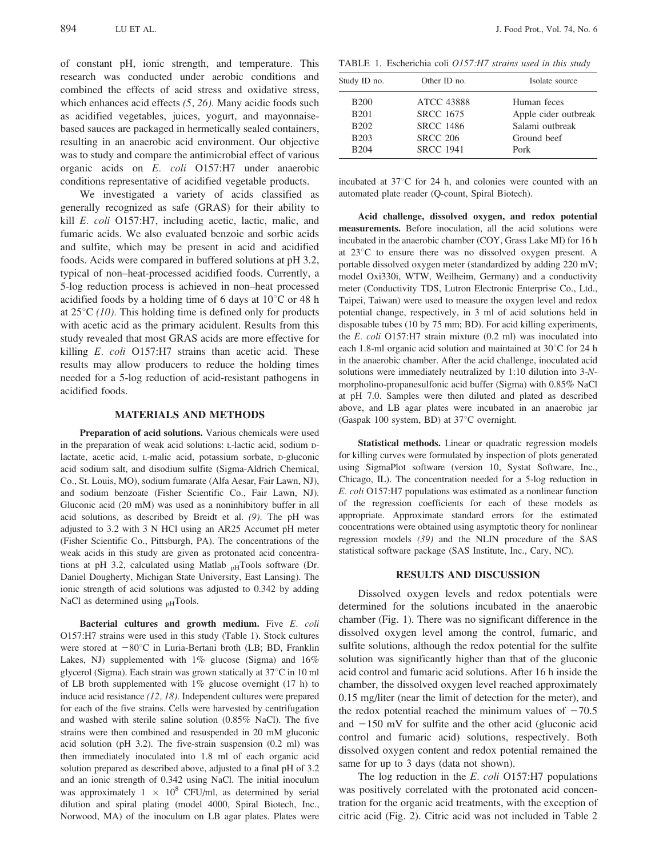of constant pH, ionic strength, and temperature. This research was conducted under aerobic conditions and combined the effects of acid stress and oxidative stress, which enhances acid effects  $(5, 26)$ . Many acidic foods such as acidified vegetables, juices, yogurt, and mayonnaisebased sauces are packaged in hermetically sealed containers, resulting in an anaerobic acid environment. Our objective was to study and compare the antimicrobial effect of various organic acids on E. coli O157:H7 under anaerobic conditions representative of acidified vegetable products.

We investigated a variety of acids classified as generally recognized as safe (GRAS) for their ability to kill E. coli O157:H7, including acetic, lactic, malic, and fumaric acids. We also evaluated benzoic and sorbic acids and sulfite, which may be present in acid and acidified foods. Acids were compared in buffered solutions at pH 3.2, typical of non-heat-processed acidified foods. Currently, a 5-log reduction process is achieved in non-heat processed acidified foods by a holding time of 6 days at  $10^{\circ}$ C or 48 h at  $25^{\circ}$ C (10). This holding time is defined only for products with acetic acid as the primary acidulent. Results from this study revealed that most GRAS acids are more effective for killing E. coli O157:H7 strains than acetic acid. These results may allow producers to reduce the holding times needed for a 5-log reduction of acid-resistant pathogens in acidified foods.

#### **MATERIALS AND METHODS**

Preparation of acid solutions. Various chemicals were used in the preparation of weak acid solutions: L-lactic acid, sodium Dlactate, acetic acid, L-malic acid, potassium sorbate, D-gluconic acid sodium salt, and disodium sulfite (Sigma-Aldrich Chemical, Co., St. Louis, MO), sodium fumarate (Alfa Aesar, Fair Lawn, NJ), and sodium benzoate (Fisher Scientific Co., Fair Lawn, NJ). Gluconic acid (20 mM) was used as a noninhibitory buffer in all acid solutions, as described by Breidt et al.  $(9)$ . The pH was adjusted to 3.2 with 3 N HCl using an AR25 Accumet pH meter (Fisher Scientific Co., Pittsburgh, PA). The concentrations of the weak acids in this study are given as protonated acid concentrations at pH 3.2, calculated using Matlab <sub>pH</sub>Tools software (Dr. Daniel Dougherty, Michigan State University, East Lansing). The ionic strength of acid solutions was adjusted to 0.342 by adding NaCl as determined using <sub>pH</sub>Tools.

Bacterial cultures and growth medium. Five E. coli O157:H7 strains were used in this study (Table 1). Stock cultures were stored at  $-80^{\circ}$ C in Luria-Bertani broth (LB; BD, Franklin Lakes, NJ) supplemented with  $1\%$  glucose (Sigma) and  $16\%$ glycerol (Sigma). Each strain was grown statically at 37°C in 10 ml of LB broth supplemented with  $1\%$  glucose overnight (17 h) to induce acid resistance  $(12, 18)$ . Independent cultures were prepared for each of the five strains. Cells were harvested by centrifugation and washed with sterile saline solution (0.85% NaCl). The five strains were then combined and resuspended in 20 mM gluconic acid solution (pH  $3.2$ ). The five-strain suspension (0.2 ml) was then immediately inoculated into 1.8 ml of each organic acid solution prepared as described above, adjusted to a final pH of 3.2 and an ionic strength of 0.342 using NaCl. The initial inoculum was approximately  $1 \times 10^8$  CFU/ml, as determined by serial dilution and spiral plating (model 4000, Spiral Biotech, Inc., Norwood, MA) of the inoculum on LB agar plates. Plates were

TABLE 1. Escherichia coli O157:H7 strains used in this study

| Study ID no. | Other ID no.      | Isolate source       |
|--------------|-------------------|----------------------|
| <b>B200</b>  | <b>ATCC 43888</b> | Human feces          |
| <b>B201</b>  | <b>SRCC 1675</b>  | Apple cider outbreak |
| <b>B202</b>  | <b>SRCC 1486</b>  | Salami outbreak      |
| <b>B203</b>  | <b>SRCC 206</b>   | Ground beef          |
| <b>B204</b>  | <b>SRCC 1941</b>  | Pork                 |

incubated at 37°C for 24 h, and colonies were counted with an automated plate reader (Q-count, Spiral Biotech).

Acid challenge, dissolved oxygen, and redox potential measurements. Before inoculation, all the acid solutions were incubated in the anaerobic chamber (COY, Grass Lake MI) for 16 h at  $23^{\circ}$ C to ensure there was no dissolved oxygen present. A portable dissolved oxygen meter (standardized by adding 220 mV; model Oxi330i, WTW, Weilheim, Germany) and a conductivity meter (Conductivity TDS, Lutron Electronic Enterprise Co., Ltd., Taipei, Taiwan) were used to measure the oxygen level and redox potential change, respectively, in 3 ml of acid solutions held in disposable tubes (10 by 75 mm; BD). For acid killing experiments, the E. coli  $O157:H7$  strain mixture  $(0.2 \text{ ml})$  was inoculated into each 1.8-ml organic acid solution and maintained at 30°C for 24 h in the anaerobic chamber. After the acid challenge, inoculated acid solutions were immediately neutralized by 1:10 dilution into 3-Nmorpholino-propanesulfonic acid buffer (Sigma) with 0.85% NaCl at pH 7.0. Samples were then diluted and plated as described above, and LB agar plates were incubated in an anaerobic jar (Gaspak 100 system, BD) at 37°C overnight.

Statistical methods. Linear or quadratic regression models for killing curves were formulated by inspection of plots generated using SigmaPlot software (version 10, Systat Software, Inc., Chicago, IL). The concentration needed for a 5-log reduction in E. coli O157:H7 populations was estimated as a nonlinear function of the regression coefficients for each of these models as appropriate. Approximate standard errors for the estimated concentrations were obtained using asymptotic theory for nonlinear regression models (39) and the NLIN procedure of the SAS statistical software package (SAS Institute, Inc., Cary, NC).

#### **RESULTS AND DISCUSSION**

Dissolved oxygen levels and redox potentials were determined for the solutions incubated in the anaerobic chamber (Fig. 1). There was no significant difference in the dissolved oxygen level among the control, fumaric, and sulfite solutions, although the redox potential for the sulfite solution was significantly higher than that of the gluconic acid control and fumaric acid solutions. After 16 h inside the chamber, the dissolved oxygen level reached approximately 0.15 mg/liter (near the limit of detection for the meter), and the redox potential reached the minimum values of  $-70.5$ and  $-150$  mV for sulfite and the other acid (gluconic acid control and fumaric acid) solutions, respectively. Both dissolved oxygen content and redox potential remained the same for up to 3 days (data not shown).

The log reduction in the  $E$ . *coli* O157:H7 populations was positively correlated with the protonated acid concentration for the organic acid treatments, with the exception of citric acid (Fig. 2). Citric acid was not included in Table 2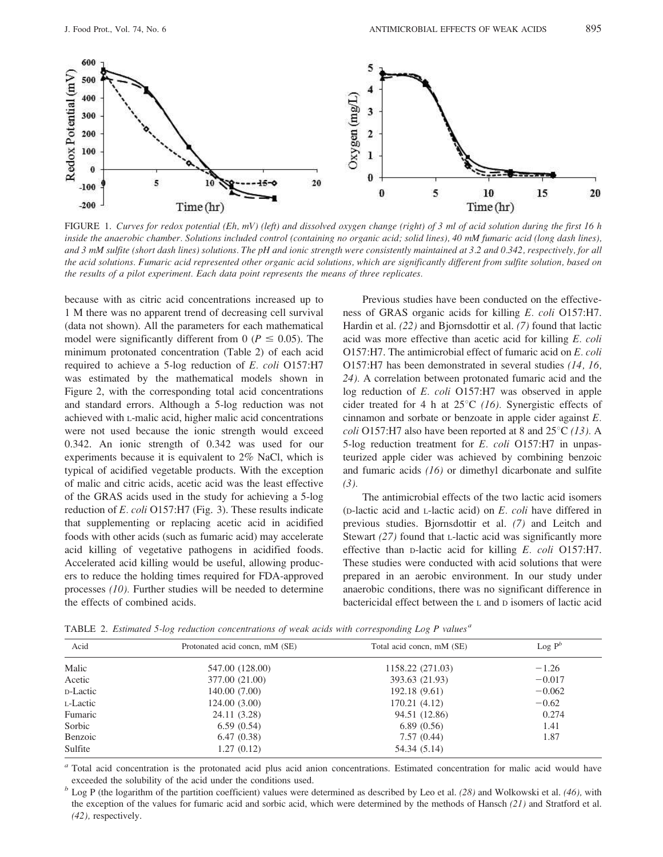

FIGURE 1. Curves for redox potential (Eh, mV) (left) and dissolved oxygen change (right) of 3 ml of acid solution during the first 16 h inside the anaerobic chamber. Solutions included control (containing no organic acid; solid lines), 40 mM fumaric acid (long dash lines), and 3 mM sulfite (short dash lines) solutions. The pH and ionic strength were consistently maintained at 3.2 and 0.342, respectively, for all the acid solutions. Fumaric acid represented other organic acid solutions, which are significantly different from sulfite solution, based on the results of a pilot experiment. Each data point represents the means of three replicates.

because with as citric acid concentrations increased up to 1 M there was no apparent trend of decreasing cell survival (data not shown). All the parameters for each mathematical model were significantly different from 0 ( $P \le 0.05$ ). The minimum protonated concentration (Table 2) of each acid required to achieve a 5-log reduction of E. coli O157:H7 was estimated by the mathematical models shown in Figure 2, with the corresponding total acid concentrations and standard errors. Although a 5-log reduction was not achieved with L-malic acid, higher malic acid concentrations were not used because the ionic strength would exceed 0.342. An ionic strength of 0.342 was used for our experiments because it is equivalent to  $2\%$  NaCl, which is typical of acidified vegetable products. With the exception of malic and citric acids, acetic acid was the least effective of the GRAS acids used in the study for achieving a 5-log reduction of E. coli O157:H7 (Fig. 3). These results indicate that supplementing or replacing acetic acid in acidified foods with other acids (such as fumaric acid) may accelerate acid killing of vegetative pathogens in acidified foods. Accelerated acid killing would be useful, allowing producers to reduce the holding times required for FDA-approved processes  $(10)$ . Further studies will be needed to determine the effects of combined acids.

Previous studies have been conducted on the effectiveness of GRAS organic acids for killing E. coli O157:H7. Hardin et al. (22) and Bjornsdottir et al. (7) found that lactic acid was more effective than acetic acid for killing E. coli O157:H7. The antimicrobial effect of fumaric acid on E. coli O157:H7 has been demonstrated in several studies (14, 16, 24). A correlation between protonated fumaric acid and the log reduction of E. coli O157:H7 was observed in apple cider treated for 4 h at  $25^{\circ}$ C (16). Synergistic effects of cinnamon and sorbate or benzoate in apple cider against  $E$ . *coli* O157:H7 also have been reported at 8 and  $25^{\circ}C$  (13). A 5-log reduction treatment for *E. coli* O157:H7 in unpasteurized apple cider was achieved by combining benzoic and fumaric acids  $(16)$  or dimethyl dicarbonate and sulfite  $(3)$ .

The antimicrobial effects of the two lactic acid isomers ( $D$ -lactic acid and  $L$ -lactic acid) on  $E$ . *coli* have differed in previous studies. Bjornsdottir et al. (7) and Leitch and Stewart (27) found that *L*-lactic acid was significantly more effective than p-lactic acid for killing  $E$ . coli  $O157:H7$ . These studies were conducted with acid solutions that were prepared in an aerobic environment. In our study under anaerobic conditions, there was no significant difference in bactericidal effect between the L and D isomers of lactic acid

TABLE 2. Estimated 5-log reduction concentrations of weak acids with corresponding Log P values<sup>a</sup>

| Acid     | Protonated acid concn, mM (SE) | Total acid concn, mM (SE) | Log $P^b$ |
|----------|--------------------------------|---------------------------|-----------|
| Malic    | 547.00 (128.00)                | 1158.22 (271.03)          | $-1.26$   |
| Acetic   | 377.00 (21.00)                 | 393.63 (21.93)            | $-0.017$  |
| D-Lactic | 140.00 (7.00)                  | 192.18 (9.61)             | $-0.062$  |
| L-Lactic | 124.00(3.00)                   | 170.21(4.12)              | $-0.62$   |
| Fumaric  | 24.11 (3.28)                   | 94.51 (12.86)             | 0.274     |
| Sorbic   | 6.59(0.54)                     | 6.89(0.56)                | 1.41      |
| Benzoic  | 6.47(0.38)                     | 7.57(0.44)                | 1.87      |
| Sulfite  | 1.27(0.12)                     | 54.34 (5.14)              |           |

<sup>a</sup> Total acid concentration is the protonated acid plus acid anion concentrations. Estimated concentration for malic acid would have exceeded the solubility of the acid under the conditions used.

 $b$  Log P (the logarithm of the partition coefficient) values were determined as described by Leo et al. (28) and Wolkowski et al. (46), with the exception of the values for fumaric acid and sorbic acid, which were determined by the methods of Hansch  $(21)$  and Stratford et al. (42), respectively.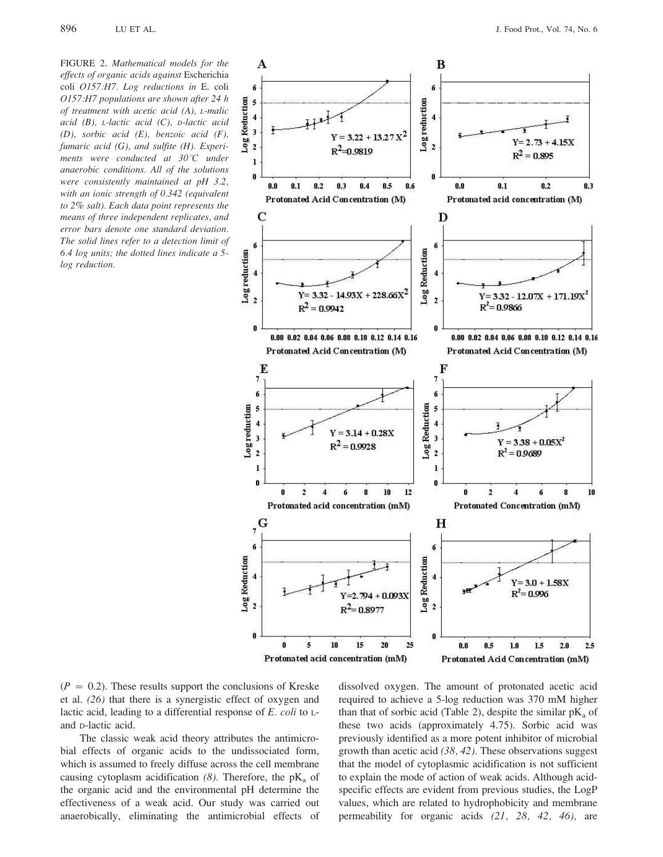FIGURE 2. Mathematical models for the effects of organic acids against Escherichia coli O157:H7. Log reductions in E. coli O157:H7 populations are shown after 24 h of treatment with acetic acid (A), L-malic acid  $(B)$ , *L*-lactic acid  $(C)$ , *D*-lactic acid  $(D)$ , sorbic acid  $(E)$ , benzoic acid  $(F)$ , fumaric acid  $(G)$ , and sulfite  $(H)$ . Experiments were conducted at  $30^{\circ}$ C under anaerobic conditions. All of the solutions were consistently maintained at pH 3.2, with an ionic strength of 0.342 (equivalent to 2% salt). Each data point represents the means of three independent replicates, and error bars denote one standard deviation. The solid lines refer to a detection limit of  $6.4$  log units; the dotted lines indicate a 5log reduction.



Protonated acid concentration (mM) Protonated Acid Concentration (mM)

 $(P = 0.2)$ . These results support the conclusions of Kreske et al.  $(26)$  that there is a synergistic effect of oxygen and lactic acid, leading to a differential response of  $E$ . coli to  $L$ and p-lactic acid.

The classic weak acid theory attributes the antimicrobial effects of organic acids to the undissociated form, which is assumed to freely diffuse across the cell membrane causing cytoplasm acidification (8). Therefore, the  $pK_a$  of the organic acid and the environmental pH determine the effectiveness of a weak acid. Our study was carried out anaerobically, eliminating the antimicrobial effects of dissolved oxygen. The amount of protonated acetic acid required to achieve a 5-log reduction was 370 mM higher than that of sorbic acid (Table 2), despite the similar  $pK_a$  of these two acids (approximately 4.75). Sorbic acid was previously identified as a more potent inhibitor of microbial growth than acetic acid  $(38, 42)$ . These observations suggest that the model of cytoplasmic acidification is not sufficient to explain the mode of action of weak acids. Although acidspecific effects are evident from previous studies, the LogP values, which are related to hydrophobicity and membrane permeability for organic acids  $(21, 28, 42, 46)$ , are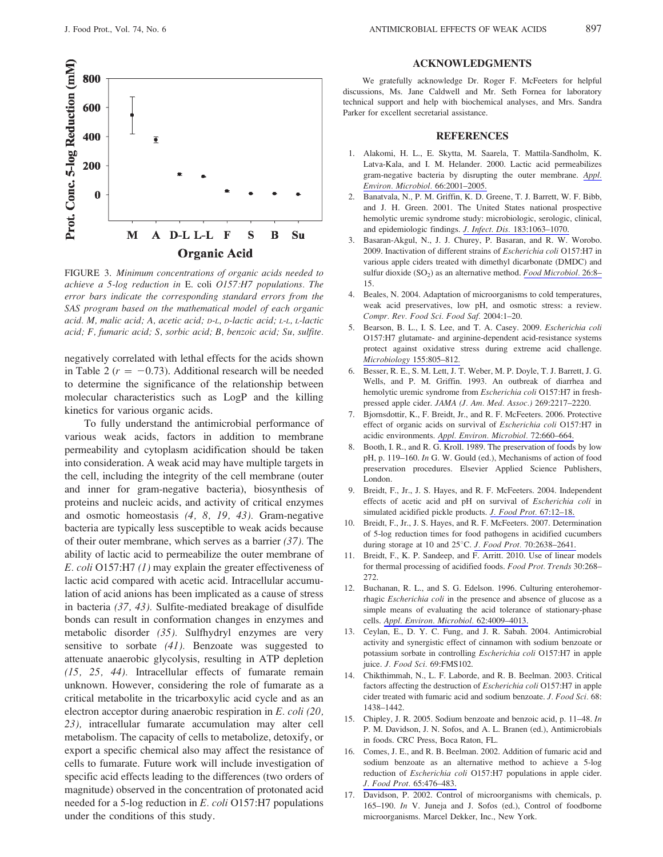



FIGURE 3. Minimum concentrations of organic acids needed to achieve a 5-log reduction in E. coli O157:H7 populations. The error bars indicate the corresponding standard errors from the SAS program based on the mathematical model of each organic acid. M, malic acid; A, acetic acid; D-L, D-lactic acid; L-L, L-lactic acid; F, fumaric acid; S, sorbic acid; B, benzoic acid; Su, sulfite.

negatively correlated with lethal effects for the acids shown in Table 2 ( $r = -0.73$ ). Additional research will be needed to determine the significance of the relationship between molecular characteristics such as LogP and the killing kinetics for various organic acids.

To fully understand the antimicrobial performance of various weak acids, factors in addition to membrane permeability and cytoplasm acidification should be taken into consideration. A weak acid may have multiple targets in the cell, including the integrity of the cell membrane (outer and inner for gram-negative bacteria), biosynthesis of proteins and nucleic acids, and activity of critical enzymes and osmotic homeostasis  $(4, 8, 19, 43)$ . Gram-negative bacteria are typically less susceptible to weak acids because of their outer membrane, which serves as a barrier  $(37)$ . The ability of lactic acid to permeabilize the outer membrane of *E. coli* O157:H7 (1) may explain the greater effectiveness of lactic acid compared with acetic acid. Intracellular accumulation of acid anions has been implicated as a cause of stress in bacteria  $(37, 43)$ . Sulfite-mediated breakage of disulfide bonds can result in conformation changes in enzymes and metabolic disorder (35). Sulfhydryl enzymes are very sensitive to sorbate  $(41)$ . Benzoate was suggested to attenuate anaerobic glycolysis, resulting in ATP depletion  $(15, 25, 44)$ . Intracellular effects of fumarate remain unknown. However, considering the role of fumarate as a critical metabolite in the tricarboxylic acid cycle and as an electron acceptor during anaerobic respiration in  $E$ . coli (20, 23), intracellular fumarate accumulation may alter cell metabolism. The capacity of cells to metabolize, detoxify, or export a specific chemical also may affect the resistance of cells to fumarate. Future work will include investigation of specific acid effects leading to the differences (two orders of magnitude) observed in the concentration of protonated acid needed for a 5-log reduction in E. coli O157:H7 populations under the conditions of this study.

# **ACKNOWLEDGMENTS**

We gratefully acknowledge Dr. Roger F. McFeeters for helpful discussions, Ms. Jane Caldwell and Mr. Seth Fornea for laboratory technical support and help with biochemical analyses, and Mrs. Sandra Parker for excellent secretarial assistance.

## **REFERENCES**

- 1. Alakomi, H. L., E. Skytta, M. Saarela, T. Mattila-Sandholm, K. Latva-Kala, and I. M. Helander. 2000. Lactic acid permeabilizes gram-negative bacteria by disrupting the outer membrane. Appl. Environ. Microbiol. 66:2001-2005.
- 2. Banatyala, N., P. M. Griffin, K. D. Greene, T. J. Barrett, W. F. Bibb. and J. H. Green. 2001. The United States national prospective hemolytic uremic syndrome study: microbiologic, serologic, clinical, and epidemiologic findings. J. Infect. Dis. 183:1063-1070.
- Basaran-Akgul, N., J. J. Churey, P. Basaran, and R. W. Worobo.  $3.$ 2009. Inactivation of different strains of Escherichia coli O157:H7 in various apple ciders treated with dimethyl dicarbonate (DMDC) and sulfur dioxide (SO<sub>2</sub>) as an alternative method. Food Microbiol. 26:8-15
- 4. Beales, N. 2004. Adaptation of microorganisms to cold temperatures, weak acid preservatives, low pH, and osmotic stress: a review. Compr. Rev. Food Sci. Food Saf. 2004:1-20.
- Bearson, B. L., I. S. Lee, and T. A. Casey. 2009. Escherichia coli O157:H7 glutamate- and arginine-dependent acid-resistance systems protect against oxidative stress during extreme acid challenge. Microbiology 155:805-812.
- 6. Besser, R. E., S. M. Lett, J. T. Weber, M. P. Doyle, T. J. Barrett, J. G. Wells, and P. M. Griffin. 1993. An outbreak of diarrhea and hemolytic uremic syndrome from Escherichia coli O157:H7 in freshpressed apple cider. JAMA (J. Am. Med. Assoc.) 269:2217-2220.
- 7. Bjornsdottir, K., F. Breidt, Jr., and R. F. McFeeters. 2006. Protective effect of organic acids on survival of Escherichia coli O157:H7 in acidic environments. Appl. Environ. Microbiol. 72:660-664.
- 8. Booth, I. R., and R. G. Kroll. 1989. The preservation of foods by low pH, p. 119-160. In G. W. Gould (ed.), Mechanisms of action of food preservation procedures. Elsevier Applied Science Publishers, London.
- 9. Breidt, F., Jr., J. S. Hayes, and R. F. McFeeters. 2004. Independent effects of acetic acid and pH on survival of Escherichia coli in simulated acidified pickle products. J. Food Prot. 67:12-18.
- 10. Breidt, F., Jr., J. S. Hayes, and R. F. McFeeters. 2007. Determination of 5-log reduction times for food pathogens in acidified cucumbers during storage at 10 and 25°C. J. Food Prot. 70:2638-2641.
- 11. Breidt, F., K. P. Sandeep, and F. Arritt. 2010. Use of linear models for thermal processing of acidified foods. Food Prot. Trends 30:268- $272$
- 12. Buchanan, R. L., and S. G. Edelson. 1996. Culturing enterohemorrhagic Escherichia coli in the presence and absence of glucose as a simple means of evaluating the acid tolerance of stationary-phase cells. Appl. Environ. Microbiol. 62:4009-4013.
- 13. Ceylan, E., D. Y. C. Fung, and J. R. Sabah. 2004. Antimicrobial activity and synergistic effect of cinnamon with sodium benzoate or potassium sorbate in controlling Escherichia coli O157:H7 in apple juice. J. Food Sci. 69:FMS102.
- 14. Chikthimmah, N., L. F. Laborde, and R. B. Beelman. 2003. Critical factors affecting the destruction of *Escherichia coli* O157:H7 in apple cider treated with fumaric acid and sodium benzoate. J. Food Sci. 68: 1438-1442.
- 15. Chipley, J. R. 2005. Sodium benzoate and benzoic acid, p. 11–48. In P. M. Davidson, J. N. Sofos, and A. L. Branen (ed.), Antimicrobials in foods. CRC Press, Boca Raton, FL.
- 16. Comes, J. E., and R. B. Beelman. 2002. Addition of fumaric acid and sodium benzoate as an alternative method to achieve a 5-log reduction of Escherichia coli O157:H7 populations in apple cider. J. Food Prot. 65:476-483.
- 17. Davidson, P. 2002. Control of microorganisms with chemicals, p. 165-190. In V. Juneja and J. Sofos (ed.), Control of foodborne microorganisms. Marcel Dekker, Inc., New York.